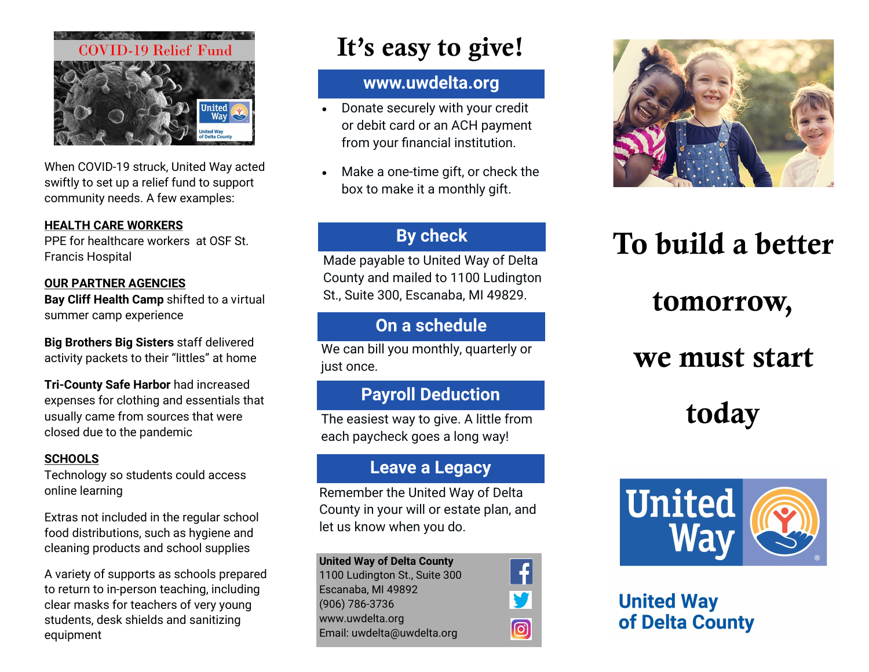

When COVID-19 struck, United Way acted swiftly to set up a relief fund to support community needs. A few examples:

#### **HEALTH CARE WORKERS**

PPE for healthcare workers at OSF St. Francis Hospital

#### **OUR PARTNER AGENCIES**

**Bay Cliff Health Camp** shifted to a virtual summer camp experience

**Big Brothers Big Sisters** staff delivered activity packets to their "littles" at home

**Tri-County Safe Harbor** had increased expenses for clothing and essentials that usually came from sources that were closed due to the pandemic

#### **SCHOOLS**

Technology so students could access online learning

Extras not included in the regular school food distributions, such as hygiene and cleaning products and school supplies

A variety of supports as schools prepared to return to in-person teaching, including clear masks for teachers of very young students, desk shields and sanitizing equipment

# It's easy to give!

### **www.uwdelta.org**

- Donate securely with your credit or debit card or an ACH payment from your financial institution.
- Make a one-time gift, or check the box to make it a monthly gift.

### **By check**

Made payable to United Way of Delta County and mailed to 1100 Ludington St., Suite 300, Escanaba, MI 49829.

### **On a schedule**

We can bill you monthly, quarterly or just once.

### **Payroll Deduction**

The easiest way to give. A little from each paycheck goes a long way!

### **Leave a Legacy**

Remember the United Way of Delta County in your will or estate plan, and let us know when you do.

ම

**United Way of Delta County** 1100 Ludington St., Suite 300 Escanaba, MI 49892 (906) 786-3736 www.uwdelta.org Email: uwdelta@uwdelta.org



# To build a better

## tomorrow,

## we must start

# today



### **United Way** of Delta County